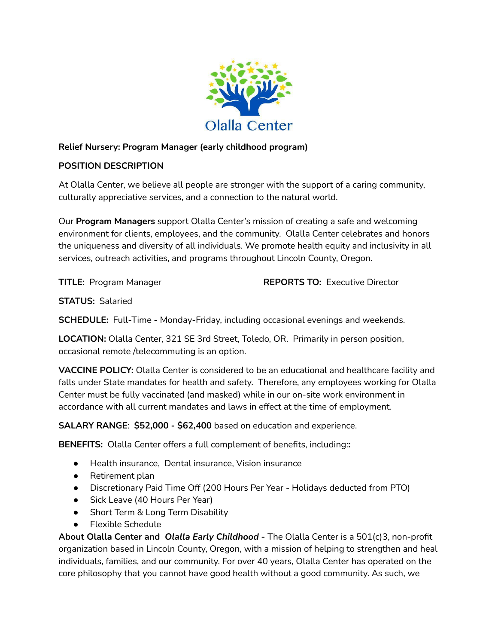

## **Relief Nursery: Program Manager (early childhood program)**

## **POSITION DESCRIPTION**

At Olalla Center, we believe all people are stronger with the support of a caring community, culturally appreciative services, and a connection to the natural world.

Our **Program Managers** support Olalla Center's mission of creating a safe and welcoming environment for clients, employees, and the community. Olalla Center celebrates and honors the uniqueness and diversity of all individuals. We promote health equity and inclusivity in all services, outreach activities, and programs throughout Lincoln County, Oregon.

**TITLE:** Program Manager **REPORTS TO:** Executive Director

**STATUS:** Salaried

**SCHEDULE:** Full-Time - Monday-Friday, including occasional evenings and weekends.

**LOCATION:** Olalla Center, 321 SE 3rd Street, Toledo, OR. Primarily in person position, occasional remote /telecommuting is an option.

**VACCINE POLICY:** Olalla Center is considered to be an educational and healthcare facility and falls under State mandates for health and safety. Therefore, any employees working for Olalla Center must be fully vaccinated (and masked) while in our on-site work environment in accordance with all current mandates and laws in effect at the time of employment.

**SALARY RANGE**: **\$52,000 - \$62,400** based on education and experience.

**BENEFITS:** Olalla Center offers a full complement of benefits, including:**:**

- Health insurance, Dental insurance, Vision insurance
- Retirement plan
- Discretionary Paid Time Off (200 Hours Per Year Holidays deducted from PTO)
- Sick Leave (40 Hours Per Year)
- Short Term & Long Term Disability
- Flexible Schedule

**About Olalla Center and** *Olalla Early Childhood -* The Olalla Center is a 501(c)3, non-profit organization based in Lincoln County, Oregon, with a mission of helping to strengthen and heal individuals, families, and our community. For over 40 years, Olalla Center has operated on the core philosophy that you cannot have good health without a good community. As such, we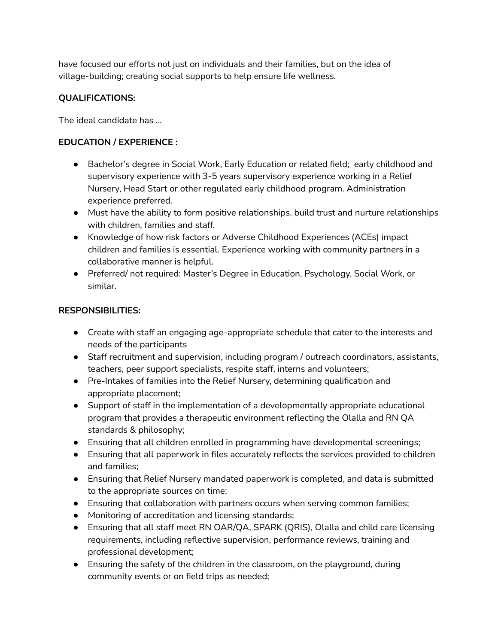have focused our efforts not just on individuals and their families, but on the idea of village-building; creating social supports to help ensure life wellness.

## **QUALIFICATIONS:**

The ideal candidate has …

#### **EDUCATION / EXPERIENCE :**

- Bachelor's degree in Social Work, Early Education or related field; early childhood and supervisory experience with 3-5 years supervisory experience working in a Relief Nursery, Head Start or other regulated early childhood program. Administration experience preferred.
- Must have the ability to form positive relationships, build trust and nurture relationships with children, families and staff.
- Knowledge of how risk factors or Adverse Childhood Experiences (ACEs) impact children and families is essential. Experience working with community partners in a collaborative manner is helpful.
- Preferred/ not required: Master's Degree in Education, Psychology, Social Work, or similar.

## **RESPONSIBILITIES:**

- Create with staff an engaging age-appropriate schedule that cater to the interests and needs of the participants
- Staff recruitment and supervision, including program / outreach coordinators, assistants, teachers, peer support specialists, respite staff, interns and volunteers;
- Pre-Intakes of families into the Relief Nursery, determining qualification and appropriate placement;
- Support of staff in the implementation of a developmentally appropriate educational program that provides a therapeutic environment reflecting the Olalla and RN QA standards & philosophy;
- Ensuring that all children enrolled in programming have developmental screenings;
- Ensuring that all paperwork in files accurately reflects the services provided to children and families;
- Ensuring that Relief Nursery mandated paperwork is completed, and data is submitted to the appropriate sources on time;
- Ensuring that collaboration with partners occurs when serving common families;
- Monitoring of accreditation and licensing standards;
- Ensuring that all staff meet RN OAR/QA, SPARK (QRIS), Olalla and child care licensing requirements, including reflective supervision, performance reviews, training and professional development;
- Ensuring the safety of the children in the classroom, on the playground, during community events or on field trips as needed;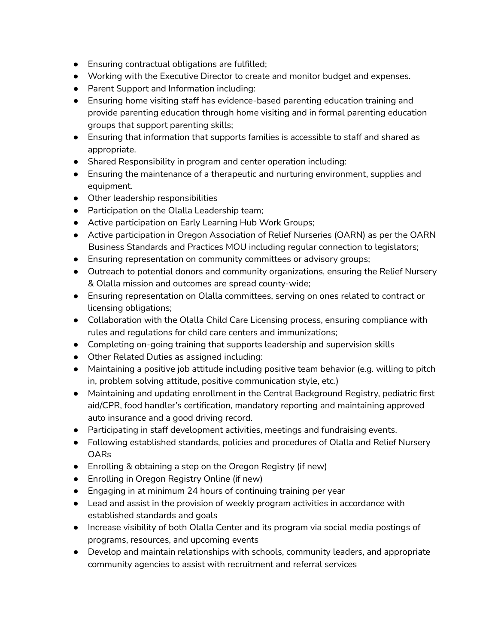- Ensuring contractual obligations are fulfilled;
- Working with the Executive Director to create and monitor budget and expenses.
- Parent Support and Information including:
- Ensuring home visiting staff has evidence-based parenting education training and provide parenting education through home visiting and in formal parenting education groups that support parenting skills;
- Ensuring that information that supports families is accessible to staff and shared as appropriate.
- Shared Responsibility in program and center operation including:
- Ensuring the maintenance of a therapeutic and nurturing environment, supplies and equipment.
- Other leadership responsibilities
- Participation on the Olalla Leadership team;
- Active participation on Early Learning Hub Work Groups;
- Active participation in Oregon Association of Relief Nurseries (OARN) as per the OARN Business Standards and Practices MOU including regular connection to legislators;
- Ensuring representation on community committees or advisory groups;
- Outreach to potential donors and community organizations, ensuring the Relief Nursery & Olalla mission and outcomes are spread county-wide;
- Ensuring representation on Olalla committees, serving on ones related to contract or licensing obligations;
- Collaboration with the Olalla Child Care Licensing process, ensuring compliance with rules and regulations for child care centers and immunizations;
- Completing on-going training that supports leadership and supervision skills
- Other Related Duties as assigned including:
- Maintaining a positive job attitude including positive team behavior (e.g. willing to pitch in, problem solving attitude, positive communication style, etc.)
- Maintaining and updating enrollment in the Central Background Registry, pediatric first aid/CPR, food handler's certification, mandatory reporting and maintaining approved auto insurance and a good driving record.
- Participating in staff development activities, meetings and fundraising events.
- Following established standards, policies and procedures of Olalla and Relief Nursery OARs
- Enrolling & obtaining a step on the Oregon Registry (if new)
- Enrolling in Oregon Registry Online (if new)
- Engaging in at minimum 24 hours of continuing training per year
- Lead and assist in the provision of weekly program activities in accordance with established standards and goals
- Increase visibility of both Olalla Center and its program via social media postings of programs, resources, and upcoming events
- Develop and maintain relationships with schools, community leaders, and appropriate community agencies to assist with recruitment and referral services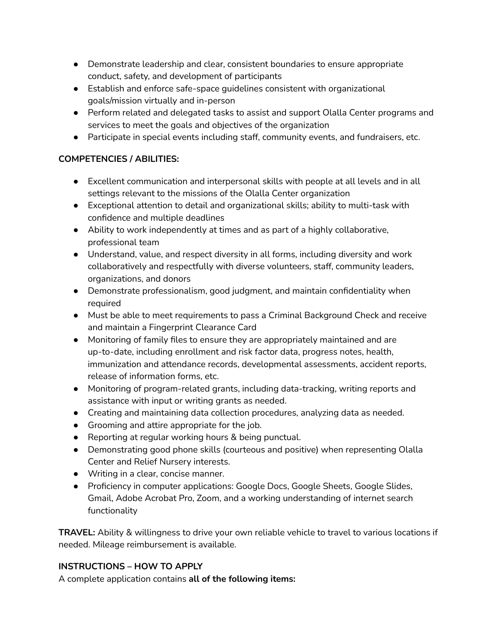- Demonstrate leadership and clear, consistent boundaries to ensure appropriate conduct, safety, and development of participants
- Establish and enforce safe-space guidelines consistent with organizational goals/mission virtually and in-person
- Perform related and delegated tasks to assist and support Olalla Center programs and services to meet the goals and objectives of the organization
- Participate in special events including staff, community events, and fundraisers, etc.

# **COMPETENCIES / ABILITIES:**

- Excellent communication and interpersonal skills with people at all levels and in all settings relevant to the missions of the Olalla Center organization
- Exceptional attention to detail and organizational skills; ability to multi-task with confidence and multiple deadlines
- Ability to work independently at times and as part of a highly collaborative, professional team
- Understand, value, and respect diversity in all forms, including diversity and work collaboratively and respectfully with diverse volunteers, staff, community leaders, organizations, and donors
- Demonstrate professionalism, good judgment, and maintain confidentiality when required
- Must be able to meet requirements to pass a Criminal Background Check and receive and maintain a Fingerprint Clearance Card
- Monitoring of family files to ensure they are appropriately maintained and are up-to-date, including enrollment and risk factor data, progress notes, health, immunization and attendance records, developmental assessments, accident reports, release of information forms, etc.
- Monitoring of program-related grants, including data-tracking, writing reports and assistance with input or writing grants as needed.
- Creating and maintaining data collection procedures, analyzing data as needed.
- Grooming and attire appropriate for the job.
- Reporting at regular working hours & being punctual.
- Demonstrating good phone skills (courteous and positive) when representing Olalla Center and Relief Nursery interests.
- Writing in a clear, concise manner.
- Proficiency in computer applications: Google Docs, Google Sheets, Google Slides, Gmail, Adobe Acrobat Pro, Zoom, and a working understanding of internet search functionality

**TRAVEL:** Ability & willingness to drive your own reliable vehicle to travel to various locations if needed. Mileage reimbursement is available.

# **INSTRUCTIONS – HOW TO APPLY**

A complete application contains **all of the following items:**